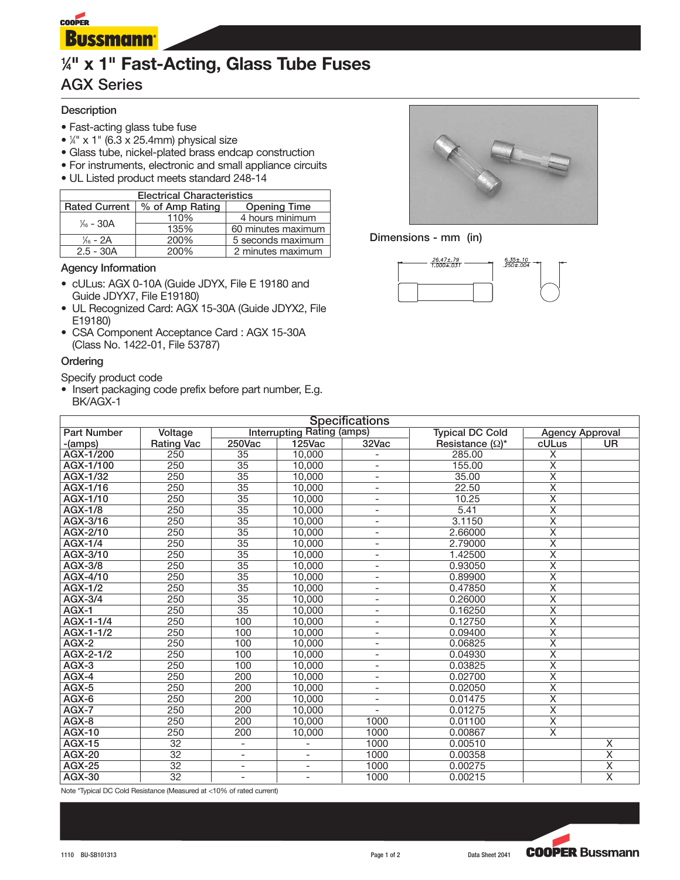

# **1 ⁄4" x 1" Fast-Acting, Glass Tube Fuses**

# **AGX Series**

## **Description**

- Fast-acting glass tube fuse
- 1 ⁄4" x 1" (6.3 x 25.4mm) physical size
- Glass tube, nickel-plated brass endcap construction
- For instruments, electronic and small appliance circuits
- UL Listed product meets standard 248-14

| <b>Electrical Characteristics</b> |                           |                     |  |  |  |  |
|-----------------------------------|---------------------------|---------------------|--|--|--|--|
| <b>Rated Current</b>              | % of Amp Rating           | <b>Opening Time</b> |  |  |  |  |
| $\frac{1}{46}$ – 30A              | 110%                      | 4 hours minimum     |  |  |  |  |
|                                   | 135%                      | 60 minutes maximum  |  |  |  |  |
| $\frac{1}{6}$ - 2A                | 200%<br>5 seconds maximum |                     |  |  |  |  |
| 200%<br>$2.5 - 30A$               |                           | 2 minutes maximum   |  |  |  |  |

#### **Agency Information**

- cULus: AGX 0-10A (Guide JDYX, File E 19180 and Guide JDYX7, File E19180)
- UL Recognized Card: AGX 15-30A (Guide JDYX2, File E19180)
- CSA Component Acceptance Card : AGX 15-30A (Class No. 1422-01, File 53787)

#### **Ordering**

Specify product code

• Insert packaging code prefix before part number, E.g. BK/AGX-1



#### **Dimensions - mm (in)**



| <b>Specifications</b> |                   |                          |                                   |                          |                         |                         |                         |  |  |  |
|-----------------------|-------------------|--------------------------|-----------------------------------|--------------------------|-------------------------|-------------------------|-------------------------|--|--|--|
| <b>Part Number</b>    | <b>Voltage</b>    |                          | <b>Interrupting Rating (amps)</b> |                          | <b>Typical DC Cold</b>  | <b>Agency Approval</b>  |                         |  |  |  |
| -(amps)               | <b>Rating Vac</b> | 250Vac                   | 125Vac                            | 32Vac                    | Resistance $(\Omega)^*$ | cULus                   | UR.                     |  |  |  |
| AGX-1/200             | 250               | 35                       | 10,000                            |                          | 285.00                  | X                       |                         |  |  |  |
| AGX-1/100             | 250               | $\overline{35}$          | 10,000                            | $\overline{\phantom{a}}$ | 155.00                  | $\overline{\mathsf{x}}$ |                         |  |  |  |
| AGX-1/32              | 250               | 35                       | 10,000                            | $\overline{\phantom{a}}$ | 35.00                   | $\overline{\mathsf{x}}$ |                         |  |  |  |
| AGX-1/16              | 250               | 35                       | 10.000                            | $\overline{\phantom{a}}$ | 22.50                   | $\overline{\mathsf{x}}$ |                         |  |  |  |
| AGX-1/10              | 250               | $\overline{35}$          | 10,000                            | $\overline{\phantom{a}}$ | 10.25                   | $\overline{\mathsf{x}}$ |                         |  |  |  |
| <b>AGX-1/8</b>        | 250               | $\overline{35}$          | 10,000                            | $\overline{\phantom{a}}$ | 5.41                    | $\overline{\mathsf{x}}$ |                         |  |  |  |
| AGX-3/16              | 250               | 35                       | 10.000                            | $\overline{\phantom{a}}$ | 3.1150                  | $\overline{\mathsf{x}}$ |                         |  |  |  |
| AGX-2/10              | 250               | $\overline{35}$          | 10,000                            | $\overline{\phantom{a}}$ | 2.66000                 | $\overline{\mathsf{x}}$ |                         |  |  |  |
| AGX-1/4               | 250               | 35                       | 10,000                            | $\overline{\phantom{a}}$ | 2.79000                 | $\overline{\mathsf{x}}$ |                         |  |  |  |
| AGX-3/10              | 250               | $\overline{35}$          | 10.000                            | $\overline{\phantom{a}}$ | 1.42500                 | $\overline{\mathsf{x}}$ |                         |  |  |  |
| AGX-3/8               | 250               | 35                       | 10,000                            | $\overline{\phantom{a}}$ | 0.93050                 | $\overline{\mathsf{x}}$ |                         |  |  |  |
| AGX-4/10              | 250               | 35                       | 10.000                            | $\overline{\phantom{a}}$ | 0.89900                 | $\overline{\mathsf{x}}$ |                         |  |  |  |
| <b>AGX-1/2</b>        | 250               | 35                       | 10,000                            | $\overline{\phantom{a}}$ | 0.47850                 | $\overline{\mathsf{x}}$ |                         |  |  |  |
| AGX-3/4               | 250               | $\overline{35}$          | 10.000                            | $\overline{\phantom{a}}$ | 0.26000                 | $\overline{\mathsf{x}}$ |                         |  |  |  |
| $AGX-1$               | 250               | 35                       | 10,000                            | $\overline{\phantom{a}}$ | 0.16250                 | $\overline{\mathsf{x}}$ |                         |  |  |  |
| AGX-1-1/4             | 250               | 100                      | 10,000                            | $\overline{\phantom{a}}$ | 0.12750                 | X                       |                         |  |  |  |
| AGX-1-1/2             | 250               | 100                      | 10,000                            | $\overline{\phantom{a}}$ | 0.09400                 | $\overline{\mathsf{x}}$ |                         |  |  |  |
| $AGX-2$               | 250               | 100                      | 10,000                            | $\overline{\phantom{a}}$ | 0.06825                 | $\overline{\mathsf{x}}$ |                         |  |  |  |
| AGX-2-1/2             | 250               | 100                      | 10.000                            | $\overline{\phantom{a}}$ | 0.04930                 | $\overline{\mathsf{x}}$ |                         |  |  |  |
| $AGX-3$               | 250               | 100                      | 10,000                            | $\overline{\phantom{a}}$ | 0.03825                 | $\overline{\mathsf{x}}$ |                         |  |  |  |
| $AGX-4$               | 250               | 200                      | 10,000                            | $\blacksquare$           | 0.02700                 | $\overline{\mathsf{x}}$ |                         |  |  |  |
| $AGX-5$               | 250               | 200                      | 10,000                            | $\overline{\phantom{a}}$ | 0.02050                 | $\overline{\mathsf{x}}$ |                         |  |  |  |
| AGX-6                 | 250               | 200                      | 10,000                            | $\blacksquare$           | 0.01475                 | $\overline{\mathsf{x}}$ |                         |  |  |  |
| AGX-7                 | 250               | 200                      | 10,000                            | $\blacksquare$           | 0.01275                 | $\overline{\mathsf{x}}$ |                         |  |  |  |
| AGX-8                 | 250               | 200                      | 10,000                            | 1000                     | 0.01100                 | $\overline{\mathsf{x}}$ |                         |  |  |  |
| <b>AGX-10</b>         | 250               | 200                      | 10.000                            | 1000                     | 0.00867                 | $\overline{\mathsf{x}}$ |                         |  |  |  |
| <b>AGX-15</b>         | $\overline{32}$   | $\overline{\phantom{a}}$ |                                   | 1000                     | 0.00510                 |                         | X                       |  |  |  |
| <b>AGX-20</b>         | 32                | $\overline{\phantom{0}}$ | $\blacksquare$                    | 1000                     | 0.00358                 |                         | $\overline{\mathsf{x}}$ |  |  |  |
| <b>AGX-25</b>         | $\overline{32}$   | L,                       |                                   | 1000                     | 0.00275                 |                         | $\overline{\mathsf{x}}$ |  |  |  |
| <b>AGX-30</b>         | $\overline{32}$   | $\overline{\phantom{0}}$ | $\blacksquare$                    | 1000                     | 0.00215                 |                         | $\overline{\mathsf{x}}$ |  |  |  |

Note \*Typical DC Cold Resistance (Measured at <10% of rated current)